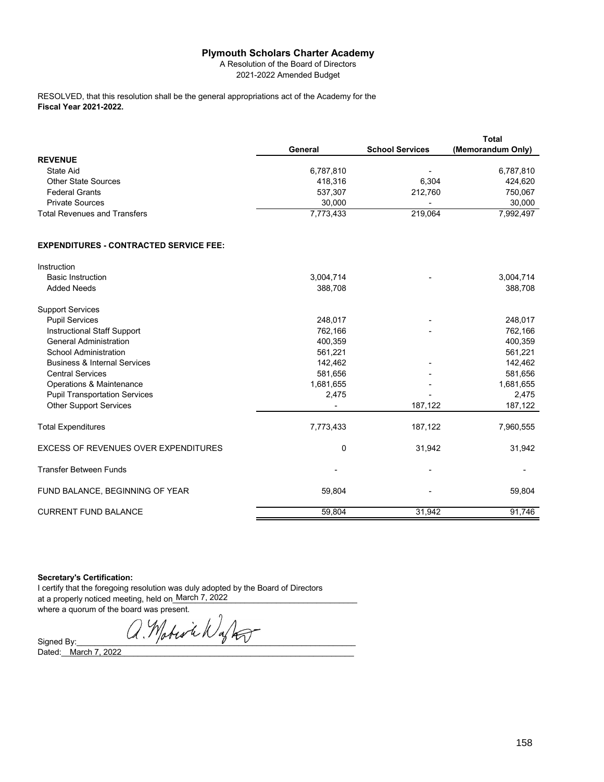## **Plymouth Scholars Charter Academy**

A Resolution of the Board of Directors 2021-2022 Amended Budget

**Fiscal Year 2021-2022.** RESOLVED, that this resolution shall be the general appropriations act of the Academy for the

|                              | General   | <b>School Services</b>   | Total<br>(Memorandum Only) |
|------------------------------|-----------|--------------------------|----------------------------|
| <b>REVENUE</b>               |           |                          |                            |
| State Aid                    | 6,787,810 | $\overline{\phantom{a}}$ | 6,787,810                  |
| <b>Other State Sources</b>   | 418,316   | 6.304                    | 424,620                    |
| <b>Federal Grants</b>        | 537,307   | 212.760                  | 750,067                    |
| <b>Private Sources</b>       | 30.000    | -                        | 30,000                     |
| Total Revenues and Transfers | 7.773.433 | 219.064                  | 7.992.497                  |

## **EXPENDITURES - CONTRACTED SERVICE FEE:**

| Instruction                                 |              |         |           |
|---------------------------------------------|--------------|---------|-----------|
| <b>Basic Instruction</b>                    | 3,004,714    |         | 3,004,714 |
| <b>Added Needs</b>                          | 388,708      |         | 388,708   |
| <b>Support Services</b>                     |              |         |           |
| <b>Pupil Services</b>                       | 248,017      |         | 248,017   |
| Instructional Staff Support                 | 762,166      |         | 762,166   |
| <b>General Administration</b>               | 400,359      |         | 400,359   |
| School Administration                       | 561,221      |         | 561,221   |
| <b>Business &amp; Internal Services</b>     | 142,462      |         | 142,462   |
| <b>Central Services</b>                     | 581,656      |         | 581,656   |
| Operations & Maintenance                    | 1,681,655    |         | 1,681,655 |
| <b>Pupil Transportation Services</b>        | 2,475        |         | 2,475     |
| <b>Other Support Services</b>               |              | 187,122 | 187,122   |
| <b>Total Expenditures</b>                   | 7,773,433    | 187,122 | 7,960,555 |
| <b>EXCESS OF REVENUES OVER EXPENDITURES</b> | $\mathbf{0}$ | 31,942  | 31,942    |
| <b>Transfer Between Funds</b>               |              |         |           |
| FUND BALANCE, BEGINNING OF YEAR             | 59,804       |         | 59,804    |
| <b>CURRENT FUND BALANCE</b>                 | 59,804       | 31,942  | 91,746    |

## **Secretary's Certification:**

I certify that the foregoing resolution was duly adopted by the Board of Directors at a properly noticed meeting, held on\_March 7, 2022\_\_\_\_\_\_\_\_\_\_\_\_\_\_\_\_\_\_\_\_\_\_\_\_\_\_\_\_ where a quorum of the board was present.

Signed By:  $Q.M$ obes in  $N$ aftes Dated:\_\_\_\_\_\_\_\_\_\_\_\_\_\_\_\_\_\_\_\_\_\_\_\_\_\_\_\_\_\_\_\_\_\_\_\_\_\_\_\_\_\_\_\_\_\_\_\_\_\_\_\_\_\_\_\_\_\_\_\_\_\_\_\_\_ March 7, 2022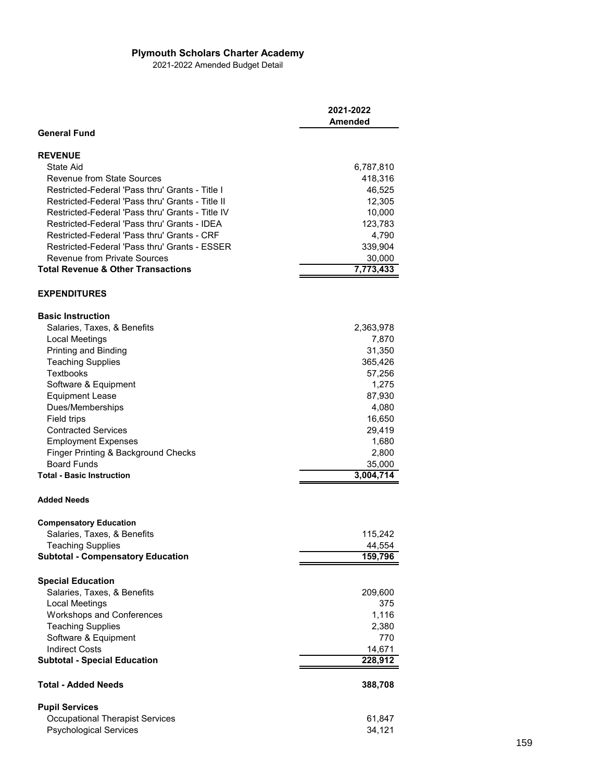## **Plymouth Scholars Charter Academy**

2021-2022 Amended Budget Detail

|                                                  | 2021-2022<br><b>Amended</b> |
|--------------------------------------------------|-----------------------------|
| <b>General Fund</b>                              |                             |
| <b>REVENUE</b>                                   |                             |
| State Aid                                        | 6,787,810                   |
| Revenue from State Sources                       | 418,316                     |
| Restricted-Federal 'Pass thru' Grants - Title I  | 46,525                      |
| Restricted-Federal 'Pass thru' Grants - Title II | 12,305                      |
| Restricted-Federal 'Pass thru' Grants - Title IV | 10,000                      |
| Restricted-Federal 'Pass thru' Grants - IDEA     | 123,783                     |
| Restricted-Federal 'Pass thru' Grants - CRF      | 4,790                       |
| Restricted-Federal 'Pass thru' Grants - ESSER    | 339,904                     |
| <b>Revenue from Private Sources</b>              | 30,000                      |
| <b>Total Revenue &amp; Other Transactions</b>    | 7,773,433                   |
| <b>EXPENDITURES</b>                              |                             |
| <b>Basic Instruction</b>                         |                             |
| Salaries, Taxes, & Benefits                      | 2,363,978                   |
| Local Meetings                                   | 7,870                       |
| Printing and Binding                             | 31,350                      |
| <b>Teaching Supplies</b>                         | 365,426                     |
| <b>Textbooks</b>                                 | 57,256                      |
| Software & Equipment                             | 1,275                       |
| <b>Equipment Lease</b>                           | 87,930                      |
| Dues/Memberships                                 | 4,080                       |
| Field trips                                      | 16,650                      |
| <b>Contracted Services</b>                       | 29,419                      |
| <b>Employment Expenses</b>                       | 1,680                       |
| Finger Printing & Background Checks              | 2,800                       |
| <b>Board Funds</b>                               | 35,000                      |
| <b>Total - Basic Instruction</b>                 | 3,004,714                   |
| <b>Added Needs</b>                               |                             |
| <b>Compensatory Education</b>                    |                             |
| Salaries, Taxes, & Benefits                      | 115,242                     |
| Teaching Supplies                                | 44,554                      |
| <b>Subtotal - Compensatory Education</b>         | 159,796                     |
| <b>Special Education</b>                         |                             |
| Salaries, Taxes, & Benefits                      | 209,600                     |
| <b>Local Meetings</b>                            | 375                         |
| <b>Workshops and Conferences</b>                 | 1,116                       |
| <b>Teaching Supplies</b>                         | 2,380                       |
| Software & Equipment                             | 770                         |
| <b>Indirect Costs</b>                            | 14,671                      |
| <b>Subtotal - Special Education</b>              | 228,912                     |
| <b>Total - Added Needs</b>                       | 388,708                     |
| <b>Pupil Services</b>                            |                             |
| <b>Occupational Therapist Services</b>           | 61,847                      |
| <b>Psychological Services</b>                    | 34,121                      |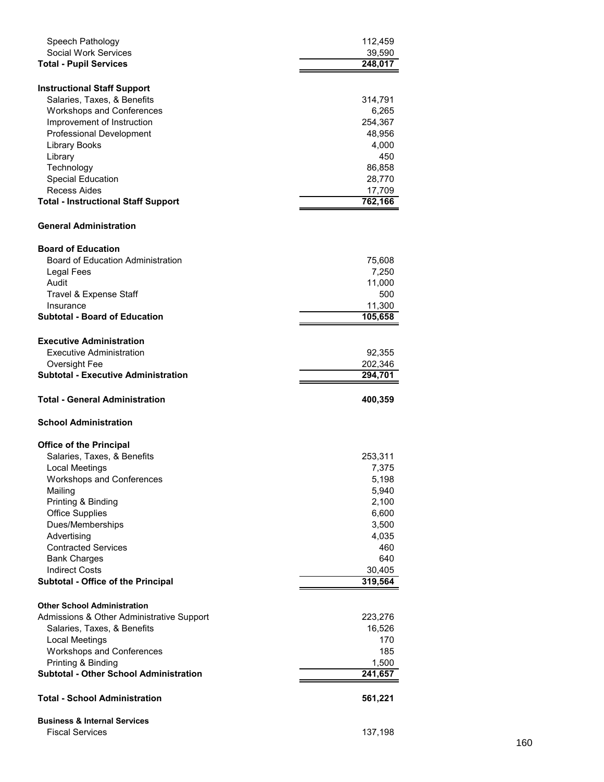| Speech Pathology                                              | 112,459           |
|---------------------------------------------------------------|-------------------|
| <b>Social Work Services</b>                                   | 39,590            |
| <b>Total - Pupil Services</b>                                 | 248,017           |
|                                                               |                   |
| <b>Instructional Staff Support</b>                            |                   |
| Salaries, Taxes, & Benefits                                   | 314,791           |
| <b>Workshops and Conferences</b>                              | 6,265             |
| Improvement of Instruction<br><b>Professional Development</b> | 254,367<br>48,956 |
| <b>Library Books</b>                                          | 4,000             |
| Library                                                       | 450               |
| Technology                                                    | 86,858            |
| Special Education                                             | 28,770            |
| Recess Aides                                                  | 17,709            |
| <b>Total - Instructional Staff Support</b>                    | 762,166           |
|                                                               |                   |
| <b>General Administration</b>                                 |                   |
| <b>Board of Education</b>                                     |                   |
| <b>Board of Education Administration</b>                      | 75,608            |
| Legal Fees                                                    | 7,250             |
| Audit                                                         | 11,000            |
| Travel & Expense Staff                                        | 500               |
| Insurance                                                     | 11,300            |
| <b>Subtotal - Board of Education</b>                          | 105,658           |
|                                                               |                   |
| <b>Executive Administration</b>                               |                   |
| Executive Administration                                      | 92,355            |
| Oversight Fee                                                 | 202,346           |
| <b>Subtotal - Executive Administration</b>                    | 294,701           |
|                                                               |                   |
| <b>Total - General Administration</b>                         | 400,359           |
| <b>School Administration</b>                                  |                   |
|                                                               |                   |
| <b>Office of the Principal</b>                                |                   |
| Salaries, Taxes, & Benefits                                   | 253,311           |
| Local Meetings                                                | 7,375             |
| <b>Workshops and Conferences</b>                              | 5,198             |
| Mailing                                                       | 5,940             |
| Printing & Binding                                            | 2,100             |
| <b>Office Supplies</b>                                        | 6,600             |
| Dues/Memberships                                              | 3,500             |
| Advertising<br><b>Contracted Services</b>                     | 4,035<br>460      |
|                                                               | 640               |
| <b>Bank Charges</b><br><b>Indirect Costs</b>                  |                   |
| Subtotal - Office of the Principal                            | 30,405<br>319,564 |
|                                                               |                   |
| <b>Other School Administration</b>                            |                   |
| Admissions & Other Administrative Support                     | 223,276           |
| Salaries, Taxes, & Benefits                                   | 16,526            |
| <b>Local Meetings</b>                                         | 170               |
| <b>Workshops and Conferences</b>                              | 185               |
| Printing & Binding                                            | 1,500             |
| <b>Subtotal - Other School Administration</b>                 | 241,657           |
| <b>Total - School Administration</b>                          | 561,221           |
| <b>Business &amp; Internal Services</b>                       |                   |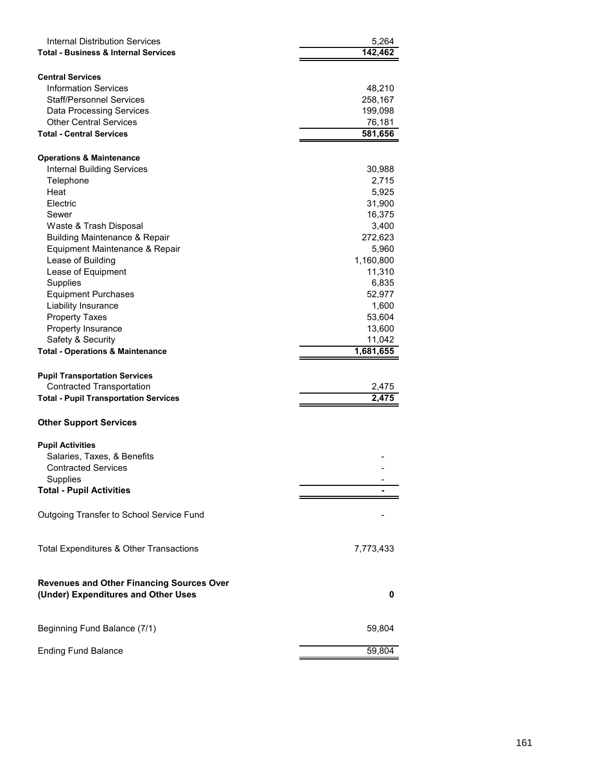| Internal Distribution Services<br><b>Total - Business &amp; Internal Services</b>       | 5,264<br>142,462  |
|-----------------------------------------------------------------------------------------|-------------------|
| <b>Central Services</b><br><b>Information Services</b>                                  | 48,210            |
| Staff/Personnel Services                                                                | 258,167           |
| <b>Data Processing Services</b><br><b>Other Central Services</b>                        | 199,098           |
| <b>Total - Central Services</b>                                                         | 76,181<br>581,656 |
|                                                                                         |                   |
| <b>Operations &amp; Maintenance</b>                                                     |                   |
| <b>Internal Building Services</b>                                                       | 30,988            |
| Telephone                                                                               | 2,715             |
| Heat                                                                                    | 5,925             |
| Electric                                                                                | 31,900            |
| Sewer                                                                                   | 16,375            |
| Waste & Trash Disposal                                                                  | 3,400             |
| <b>Building Maintenance &amp; Repair</b>                                                | 272,623           |
| Equipment Maintenance & Repair                                                          | 5,960             |
| Lease of Building                                                                       | 1,160,800         |
| Lease of Equipment<br>Supplies                                                          | 11,310<br>6,835   |
| <b>Equipment Purchases</b>                                                              | 52,977            |
| Liability Insurance                                                                     | 1,600             |
| <b>Property Taxes</b>                                                                   | 53,604            |
| Property Insurance                                                                      | 13,600            |
| Safety & Security                                                                       | 11,042            |
| <b>Total - Operations &amp; Maintenance</b>                                             | 1,681,655         |
|                                                                                         |                   |
| <b>Pupil Transportation Services</b>                                                    |                   |
| <b>Contracted Transportation</b>                                                        | 2,475             |
| <b>Total - Pupil Transportation Services</b>                                            | 2,475             |
| <b>Other Support Services</b>                                                           |                   |
|                                                                                         |                   |
| <b>Pupil Activities</b><br>Salaries, Taxes, & Benefits                                  |                   |
| <b>Contracted Services</b>                                                              |                   |
| Supplies                                                                                |                   |
| <b>Total - Pupil Activities</b>                                                         |                   |
|                                                                                         |                   |
| Outgoing Transfer to School Service Fund                                                |                   |
| Total Expenditures & Other Transactions                                                 | 7,773,433         |
|                                                                                         |                   |
| <b>Revenues and Other Financing Sources Over</b><br>(Under) Expenditures and Other Uses | 0                 |
|                                                                                         |                   |
| Beginning Fund Balance (7/1)                                                            | 59,804            |
|                                                                                         |                   |